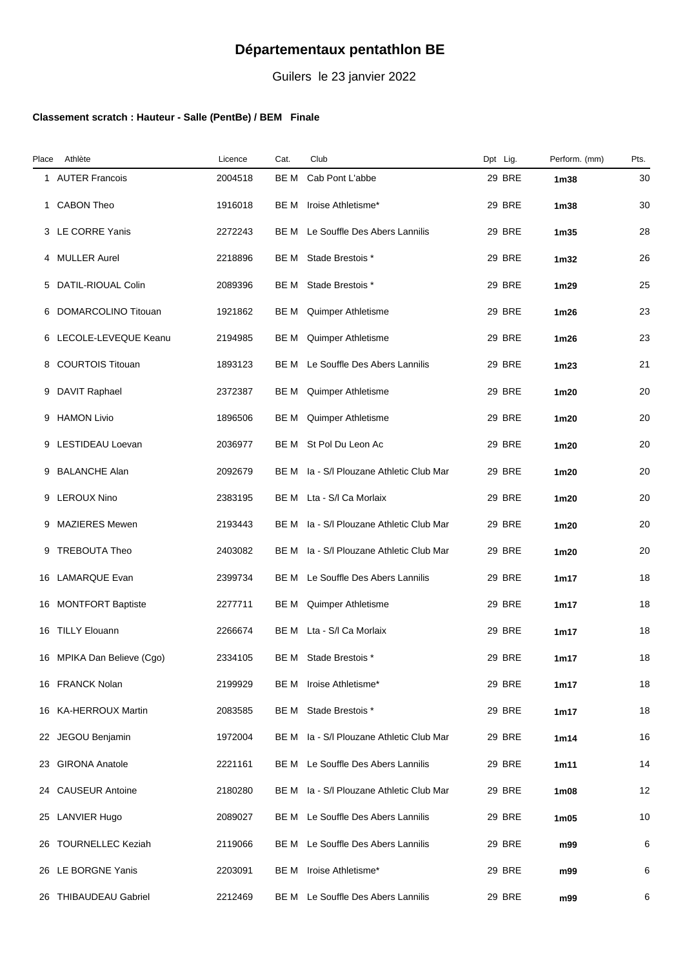## **Départementaux pentathlon BE**

Guilers le 23 janvier 2022

## **Classement scratch : Hauteur - Salle (PentBe) / BEM Finale**

| Place | Athlète                    | Licence | Cat. | Club                                | Dpt Lig.      | Perform. (mm)    | Pts. |
|-------|----------------------------|---------|------|-------------------------------------|---------------|------------------|------|
|       | 1 AUTER Francois           | 2004518 | BE M | Cab Pont L'abbe                     | <b>29 BRE</b> | 1 <sub>m38</sub> | 30   |
| 1     | <b>CABON Theo</b>          | 1916018 | BE M | Iroise Athletisme*                  | 29 BRE        | 1 <sub>m38</sub> | 30   |
|       | 3 LE CORRE Yanis           | 2272243 | BE M | Le Souffle Des Abers Lannilis       | 29 BRE        | 1 <sub>m35</sub> | 28   |
| 4     | <b>MULLER Aurel</b>        | 2218896 | BE M | Stade Brestois *                    | <b>29 BRE</b> | 1 <sub>m32</sub> | 26   |
|       | 5 DATIL-RIOUAL Colin       | 2089396 | BE M | Stade Brestois *                    | <b>29 BRE</b> | 1 <sub>m29</sub> | 25   |
|       | 6 DOMARCOLINO Titouan      | 1921862 | BE M | Quimper Athletisme                  | <b>29 BRE</b> | 1 <sub>m26</sub> | 23   |
|       | 6 LECOLE-LEVEQUE Keanu     | 2194985 | BE M | Quimper Athletisme                  | 29 BRE        | 1 <sub>m26</sub> | 23   |
|       | 8 COURTOIS Titouan         | 1893123 | BE M | Le Souffle Des Abers Lannilis       | 29 BRE        | 1 <sub>m23</sub> | 21   |
|       | 9 DAVIT Raphael            | 2372387 | BE M | Quimper Athletisme                  | <b>29 BRE</b> | 1m20             | 20   |
| 9     | <b>HAMON Livio</b>         | 1896506 | BE M | Quimper Athletisme                  | 29 BRE        | 1m20             | 20   |
| 9     | LESTIDEAU Loevan           | 2036977 | BE M | St Pol Du Leon Ac                   | <b>29 BRE</b> | 1m20             | 20   |
| 9     | <b>BALANCHE Alan</b>       | 2092679 | BE M | Ia - S/I Plouzane Athletic Club Mar | <b>29 BRE</b> | 1m20             | 20   |
|       | 9 LEROUX Nino              | 2383195 |      | BE M Lta - S/I Ca Morlaix           | 29 BRE        | 1m20             | 20   |
|       | 9 MAZIERES Mewen           | 2193443 | BE M | Ia - S/I Plouzane Athletic Club Mar | <b>29 BRE</b> | 1m20             | 20   |
| 9     | TREBOUTA Theo              | 2403082 | BE M | Ia - S/I Plouzane Athletic Club Mar | 29 BRE        | 1m20             | 20   |
|       | 16 LAMARQUE Evan           | 2399734 | BE M | Le Souffle Des Abers Lannilis       | 29 BRE        | 1m17             | 18   |
|       | 16 MONTFORT Baptiste       | 2277711 | BE M | Quimper Athletisme                  | <b>29 BRE</b> | 1m17             | 18   |
|       | 16 TILLY Elouann           | 2266674 | BE M | Lta - S/I Ca Morlaix                | <b>29 BRE</b> | 1m17             | 18   |
|       | 16 MPIKA Dan Believe (Cgo) | 2334105 | BE M | Stade Brestois *                    | 29 BRE        | 1m17             | 18   |
|       | 16 FRANCK Nolan            | 2199929 | BE M | Iroise Athletisme*                  | <b>29 BRE</b> | 1m17             | 18   |
|       | 16 KA-HERROUX Martin       | 2083585 | BE M | Stade Brestois *                    | <b>29 BRE</b> | 1m17             | 18   |
|       | 22 JEGOU Benjamin          | 1972004 | BE M | Ia - S/I Plouzane Athletic Club Mar | 29 BRE        | 1m14             | 16   |
|       | 23 GIRONA Anatole          | 2221161 |      | BE M Le Souffle Des Abers Lannilis  | <b>29 BRE</b> | 1m11             | 14   |
|       | 24 CAUSEUR Antoine         | 2180280 | BE M | Ia - S/I Plouzane Athletic Club Mar | <b>29 BRE</b> | 1m08             | 12   |
| 25    | LANVIER Hugo               | 2089027 | BE M | Le Souffle Des Abers Lannilis       | 29 BRE        | 1m05             | 10   |
|       | 26 TOURNELLEC Keziah       | 2119066 | BE M | Le Souffle Des Abers Lannilis       | 29 BRE        | m99              | 6    |
|       | 26 LE BORGNE Yanis         | 2203091 | BE M | Iroise Athletisme*                  | 29 BRE        | m99              | 6    |
|       | 26 THIBAUDEAU Gabriel      | 2212469 |      | BE M Le Souffle Des Abers Lannilis  | 29 BRE        | m99              | 6    |